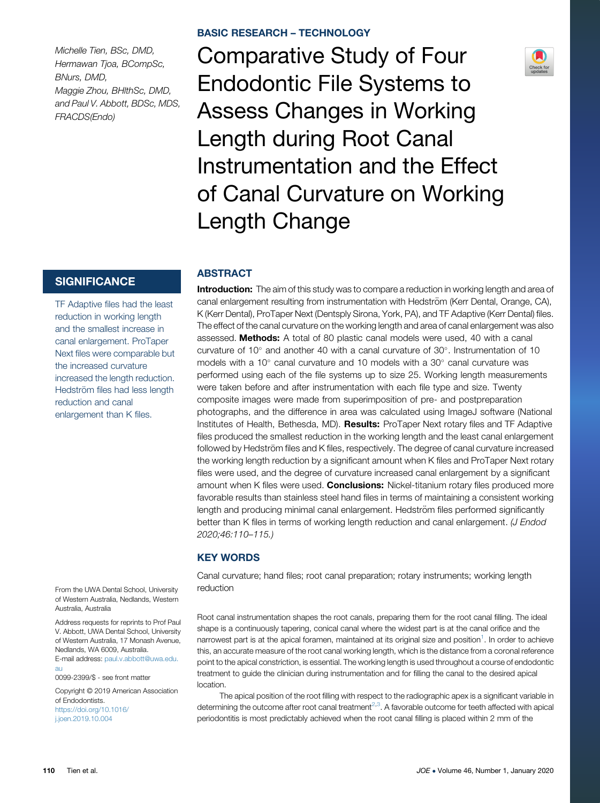Michelle Tien, BSc, DMD, Hermawan Tjoa, BCompSc, BNurs, DMD, Maggie Zhou, BHlthSc, DMD, and Paul V. Abbott, BDSc, MDS, FRACDS(Endo)

# **SIGNIFICANCE**

TF Adaptive files had the least reduction in working length and the smallest increase in canal enlargement. ProTaper Next files were comparable but the increased curvature increased the length reduction. Hedström files had less length reduction and canal enlargement than K files.

From the UWA Dental School, University of Western Australia, Nedlands, Western Australia, Australia

Address requests for reprints to Prof Paul V. Abbott, UWA Dental School, University of Western Australia, 17 Monash Avenue, Nedlands, WA 6009, Australia. E-mail address: paul.v.abbott@uwa.edu. au

0099-2399/\$ - see front matter

Copyright © 2019 American Association of Endodontists. https://doi.org/10.1016/ j.joen.2019.10.004

Comparative Study of Four Endodontic File Systems to Assess Changes in Working Length during Root Canal Instrumentation and the Effect of Canal Curvature on Working Length Change

# **ABSTRACT**

**Introduction:** The aim of this study was to compare a reduction in working length and area of canal enlargement resulting from instrumentation with Hedström (Kerr Dental, Orange, CA), K (Kerr Dental), ProTaper Next (Dentsply Sirona, York, PA), and TF Adaptive (Kerr Dental) files. The effect of the canal curvature on the working length and area of canal enlargement was also assessed. Methods: A total of 80 plastic canal models were used, 40 with a canal curvature of  $10^{\circ}$  and another 40 with a canal curvature of  $30^{\circ}$ . Instrumentation of 10 models with a 10 $^{\circ}$  canal curvature and 10 models with a 30 $^{\circ}$  canal curvature was performed using each of the file systems up to size 25. Working length measurements were taken before and after instrumentation with each file type and size. Twenty composite images were made from superimposition of pre- and postpreparation photographs, and the difference in area was calculated using ImageJ software (National Institutes of Health, Bethesda, MD). Results: ProTaper Next rotary files and TF Adaptive files produced the smallest reduction in the working length and the least canal enlargement followed by Hedström files and K files, respectively. The degree of canal curvature increased the working length reduction by a significant amount when K files and ProTaper Next rotary files were used, and the degree of curvature increased canal enlargement by a significant amount when K files were used. Conclusions: Nickel-titanium rotary files produced more favorable results than stainless steel hand files in terms of maintaining a consistent working length and producing minimal canal enlargement. Hedström files performed significantly better than K files in terms of working length reduction and canal enlargement. (*J Endod* 2020;46:110–115.)

# KEY WORDS

Canal curvature; hand files; root canal preparation; rotary instruments; working length reduction

Root canal instrumentation shapes the root canals, preparing them for the root canal filling. The ideal shape is a continuously tapering, conical canal where the widest part is at the canal orifice and the narrowest part is at the apical foramen, maintained at its original size and position<sup>[1](#page-4-0)</sup>. In order to achieve this, an accurate measure of the root canal working length, which is the distance from a coronal reference point to the apical constriction, is essential. The working length is used throughout a course of endodontic treatment to guide the clinician during instrumentation and for filling the canal to the desired apical location.

The apical position of the root filling with respect to the radiographic apex is a significant variable in determining the outcome after root canal treatment<sup>[2,3](#page-4-0)</sup>. A favorable outcome for teeth affected with apical periodontitis is most predictably achieved when the root canal filling is placed within 2 mm of the

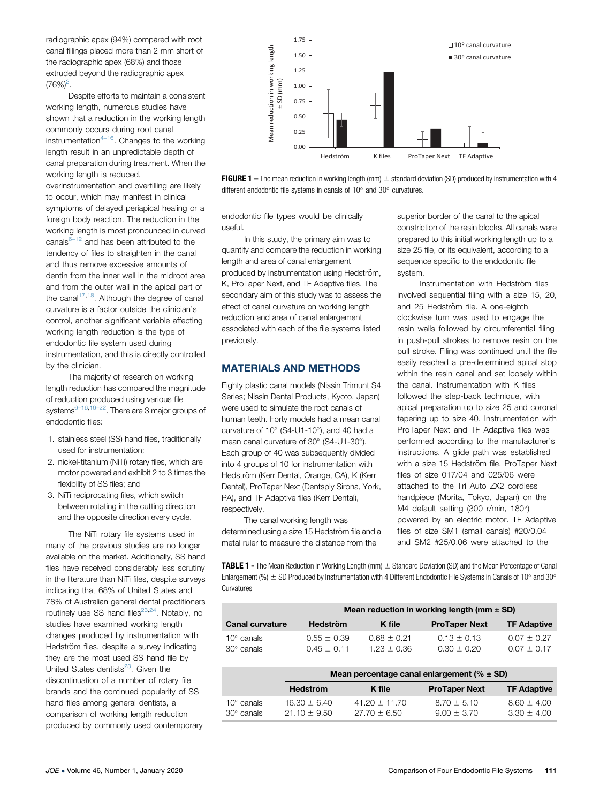<span id="page-1-0"></span>radiographic apex (94%) compared with root canal fillings placed more than 2 mm short of the radiographic apex (68%) and those extruded beyond the radiographic apex  $(76%)^2$ .

Despite efforts to maintain a consistent working length, numerous studies have shown that a reduction in the working length commonly occurs during root canal instrumentation $4-16$  $4-16$ . Changes to the working length result in an unpredictable depth of canal preparation during treatment. When the working length is reduced,

overinstrumentation and overfilling are likely to occur, which may manifest in clinical symptoms of delayed periapical healing or a foreign body reaction. The reduction in the working length is most pronounced in curved canals $6-12$  $6-12$  and has been attributed to the tendency of files to straighten in the canal and thus remove excessive amounts of dentin from the inner wall in the midroot area and from the outer wall in the apical part of the canal $17,18$  $17,18$ . Although the degree of canal curvature is a factor outside the clinician's control, another significant variable affecting working length reduction is the type of endodontic file system used during instrumentation, and this is directly controlled by the clinician.

The majority of research on working length reduction has compared the magnitude of reduction produced using various file systems<sup>6-[16,](#page-4-0)19-[22](#page-5-0)</sup>. There are 3 major groups of endodontic files:

- 1. stainless steel (SS) hand files, traditionally used for instrumentation;
- 2. nickel-titanium (NiTi) rotary files, which are motor powered and exhibit 2 to 3 times the flexibility of SS files; and
- 3. NiTi reciprocating files, which switch between rotating in the cutting direction and the opposite direction every cycle.

The NiTi rotary file systems used in many of the previous studies are no longer available on the market. Additionally, SS hand files have received considerably less scrutiny in the literature than NiTi files, despite surveys indicating that 68% of United States and 78% of Australian general dental practitioners routinely use SS hand files $^{23,24}$  $^{23,24}$  $^{23,24}$  $^{23,24}$  $^{23,24}$ . Notably, no studies have examined working length changes produced by instrumentation with Hedström files, despite a survey indicating they are the most used SS hand file by United States dentists<sup>23</sup>. Given the discontinuation of a number of rotary file brands and the continued popularity of SS hand files among general dentists, a comparison of working length reduction produced by commonly used contemporary





endodontic file types would be clinically useful.

In this study, the primary aim was to quantify and compare the reduction in working length and area of canal enlargement produced by instrumentation using Hedström, K, ProTaper Next, and TF Adaptive files. The secondary aim of this study was to assess the effect of canal curvature on working length reduction and area of canal enlargement associated with each of the file systems listed previously.

## MATERIALS AND METHODS

Eighty plastic canal models (Nissin Trimunt S4 Series; Nissin Dental Products, Kyoto, Japan) were used to simulate the root canals of human teeth. Forty models had a mean canal curvature of  $10^{\circ}$  (S4-U1-10 $^{\circ}$ ), and 40 had a mean canal curvature of 30° (S4-U1-30°). Each group of 40 was subsequently divided into 4 groups of 10 for instrumentation with Hedström (Kerr Dental, Orange, CA), K (Kerr Dental), ProTaper Next (Dentsply Sirona, York, PA), and TF Adaptive files (Kerr Dental), respectively.

The canal working length was determined using a size 15 Hedström file and a metal ruler to measure the distance from the

superior border of the canal to the apical constriction of the resin blocks. All canals were prepared to this initial working length up to a size 25 file, or its equivalent, according to a sequence specific to the endodontic file system.

Instrumentation with Hedström files involved sequential filing with a size 15, 20, and 25 Hedström file. A one-eighth clockwise turn was used to engage the resin walls followed by circumferential filing in push-pull strokes to remove resin on the pull stroke. Filing was continued until the file easily reached a pre-determined apical stop within the resin canal and sat loosely within the canal. Instrumentation with K files followed the step-back technique, with apical preparation up to size 25 and coronal tapering up to size 40. Instrumentation with ProTaper Next and TF Adaptive files was performed according to the manufacturer's instructions. A glide path was established with a size 15 Hedström file. ProTaper Next files of size 017/04 and 025/06 were attached to the Tri Auto ZX2 cordless handpiece (Morita, Tokyo, Japan) on the M4 default setting (300 r/min, 180°) powered by an electric motor. TF Adaptive files of size SM1 (small canals) #20/0.04 and SM2 #25/0.06 were attached to the

**TABLE 1** - The Mean Reduction in Working Length (mm)  $\pm$  Standard Deviation (SD) and the Mean Percentage of Canal Enlargement (%)  $\pm$  SD Produced by Instrumentation with 4 Different Endodontic File Systems in Canals of 10° and 30° **Curvatures** 

|                        |                 | Mean reduction in working length (mm $\pm$ SD) |                      |                    |
|------------------------|-----------------|------------------------------------------------|----------------------|--------------------|
| <b>Canal curvature</b> | <b>Hedström</b> | K file                                         | <b>ProTaper Next</b> | <b>TF Adaptive</b> |
| $10^{\circ}$ canals    | $0.55 + 0.39$   | $0.68 \pm 0.21$                                | $0.13 \pm 0.13$      | $0.07 \pm 0.27$    |
| $30^\circ$ canals      | $0.45 + 0.11$   | $1.23 + 0.36$                                  | $0.30 + 0.20$        | $0.07 + 0.17$      |

|                                          |                                    | Mean percentage canal enlargement ( $% \pm SD$ ) |                                |                                  |  |
|------------------------------------------|------------------------------------|--------------------------------------------------|--------------------------------|----------------------------------|--|
|                                          | <b>Hedström</b>                    | K file                                           | <b>ProTaper Next</b>           | <b>TF Adaptive</b>               |  |
| $10^{\circ}$ canals<br>$30^\circ$ canals | $16.30 \pm 6.40$<br>$21.10 + 9.50$ | $41.20 \pm 11.70$<br>$27.70 + 6.50$              | $8.70 + 5.10$<br>$9.00 + 3.70$ | $8.60 \pm 4.00$<br>$3.30 + 4.00$ |  |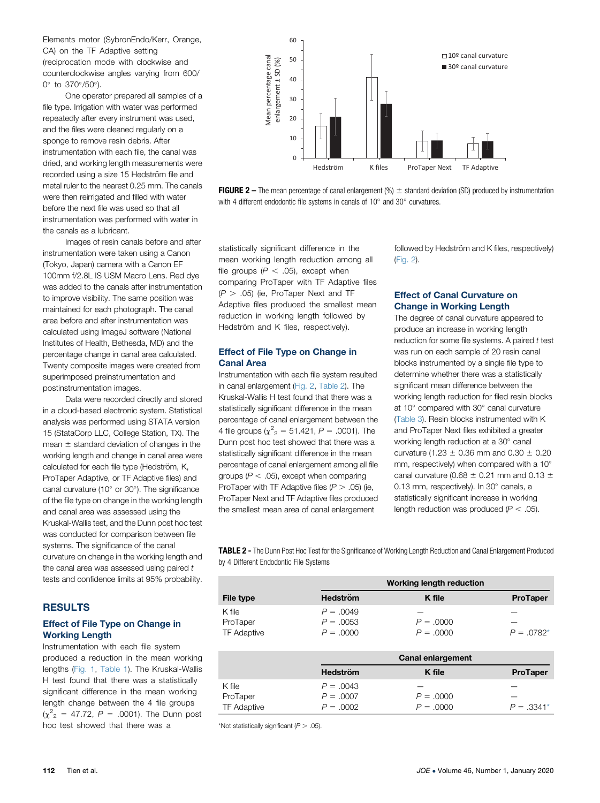<span id="page-2-0"></span>Elements motor (SybronEndo/Kerr, Orange, CA) on the TF Adaptive setting (reciprocation mode with clockwise and counterclockwise angles varying from 600/ 0 $^{\circ}$  to 370 $^{\circ}$ /50 $^{\circ}$ ).

One operator prepared all samples of a file type. Irrigation with water was performed repeatedly after every instrument was used, and the files were cleaned regularly on a sponge to remove resin debris. After instrumentation with each file, the canal was dried, and working length measurements were recorded using a size 15 Hedström file and metal ruler to the nearest 0.25 mm. The canals were then reirrigated and filled with water before the next file was used so that all instrumentation was performed with water in the canals as a lubricant.

Images of resin canals before and after instrumentation were taken using a Canon (Tokyo, Japan) camera with a Canon EF 100mm f/2.8L IS USM Macro Lens. Red dye was added to the canals after instrumentation to improve visibility. The same position was maintained for each photograph. The canal area before and after instrumentation was calculated using ImageJ software (National Institutes of Health, Bethesda, MD) and the percentage change in canal area calculated. Twenty composite images were created from superimposed preinstrumentation and postinstrumentation images.

Data were recorded directly and stored in a cloud-based electronic system. Statistical analysis was performed using STATA version 15 (StataCorp LLC, College Station, TX). The mean  $\pm$  standard deviation of changes in the working length and change in canal area were calculated for each file type (Hedström, K, ProTaper Adaptive, or TF Adaptive files) and canal curvature (10 $^{\circ}$  or 30 $^{\circ}$ ). The significance of the file type on change in the working length and canal area was assessed using the Kruskal-Wallis test, and the Dunn post hoc test was conducted for comparison between file systems. The significance of the canal curvature on change in the working length and the canal area was assessed using paired  $t$ tests and confidence limits at 95% probability.

### **RESULTS**

#### Effect of File Type on Change in Working Length

Instrumentation with each file system produced a reduction in the mean working lengths [\(Fig. 1,](#page-1-0) [Table 1\)](#page-1-0). The Kruskal-Wallis H test found that there was a statistically significant difference in the mean working length change between the 4 file groups  $(\chi^2_{2} = 47.72, P = .0001)$ . The Dunn post hoc test showed that there was a



**FIGURE 2** – The mean percentage of canal enlargement  $(\%) =$  standard deviation (SD) produced by instrumentation with 4 different endodontic file systems in canals of  $10^{\circ}$  and  $30^{\circ}$  curvatures.

statistically significant difference in the mean working length reduction among all file groups  $(P < .05)$ , except when comparing ProTaper with TF Adaptive files  $(P > .05)$  (ie, ProTaper Next and TF Adaptive files produced the smallest mean reduction in working length followed by Hedström and K files, respectively).

#### Effect of File Type on Change in Canal Area

Instrumentation with each file system resulted in canal enlargement (Fig. 2, Table 2). The Kruskal-Wallis H test found that there was a statistically significant difference in the mean percentage of canal enlargement between the 4 file groups ( $\chi^2$ <sub>2</sub> = 51.421, P = .0001). The Dunn post hoc test showed that there was a statistically significant difference in the mean percentage of canal enlargement among all file groups ( $P < .05$ ), except when comparing ProTaper with TF Adaptive files  $(P > .05)$  (ie, ProTaper Next and TF Adaptive files produced the smallest mean area of canal enlargement

followed by Hedström and K files, respectively) (Fig. 2).

#### Effect of Canal Curvature on Change in Working Length

The degree of canal curvature appeared to produce an increase in working length reduction for some file systems. A paired  $t$  test was run on each sample of 20 resin canal blocks instrumented by a single file type to determine whether there was a statistically significant mean difference between the working length reduction for filed resin blocks at  $10^\circ$  compared with  $30^\circ$  canal curvature [\(Table 3\)](#page-3-0). Resin blocks instrumented with K and ProTaper Next files exhibited a greater working length reduction at a 30° canal curvature (1.23  $\pm$  0.36 mm and 0.30  $\pm$  0.20 mm, respectively) when compared with a 10° canal curvature (0.68  $\pm$  0.21 mm and 0.13  $\pm$ 0.13 mm, respectively). In 30° canals, a statistically significant increase in working length reduction was produced  $(P < .05)$ .

TABLE 2 - The Dunn Post Hoc Test for the Significance of Working Length Reduction and Canal Enlargement Produced by 4 Different Endodontic File Systems

|                    |                 | <b>Working length reduction</b> |                 |  |
|--------------------|-----------------|---------------------------------|-----------------|--|
| File type          | <b>Hedström</b> | K file                          | <b>ProTaper</b> |  |
| K file             | $P = 0.049$     |                                 |                 |  |
| ProTaper           | $P = 0.0053$    | $P = 0.0000$                    |                 |  |
| <b>TF Adaptive</b> | $P = 0000$      | $P = 0.0000$                    | $P = .0782*$    |  |

|                    | <b>Canal enlargement</b> |              |                 |
|--------------------|--------------------------|--------------|-----------------|
|                    | <b>Hedström</b>          | K file       | <b>ProTaper</b> |
| K file             | $P = 0.0043$             |              |                 |
| ProTaper           | $P = 0.0007$             | $P = 0.0000$ |                 |
| <b>TF Adaptive</b> | $P = 0.0002$             | $P = 0.0000$ | $P = .3341*$    |

\*Not statistically significant ( $P > .05$ ).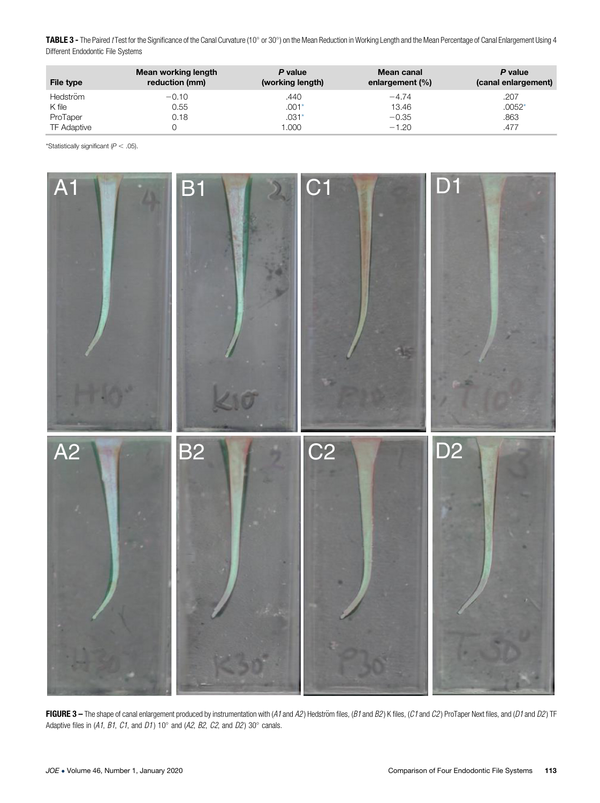<span id="page-3-0"></span>TABLE 3 - The Paired *t* Test for the Significance of the Canal Curvature (10° or 30°) on the Mean Reduction in Working Length and the Mean Percentage of Canal Enlargement Using 4 Different Endodontic File Systems

| File type          | Mean working length<br>reduction (mm) | P value<br>(working length) | Mean canal<br>enlargement $(\% )$ | P value<br>(canal enlargement) |
|--------------------|---------------------------------------|-----------------------------|-----------------------------------|--------------------------------|
| <b>Hedström</b>    | $-0.10$                               | .440                        | $-4.74$                           | .207                           |
| K file             | 0.55                                  | $.001*$                     | 13.46                             | $.0052*$                       |
| ProTaper           | 0.18                                  | $.031*$                     | $-0.35$                           | .863                           |
| <b>TF Adaptive</b> |                                       | .000                        | $-1.20$                           | .477                           |

\*Statistically significant  $(P < .05)$ .



FIGURE 3 - The shape of canal enlargement produced by instrumentation with (A1 and A2) Hedström files, (B1 and B2) K files, (C1 and C2) ProTaper Next files, and (D1 and D2) TF Adaptive files in (A1, B1, C1, and D1)  $10^{\circ}$  and (A2, B2, C2, and D2)  $30^{\circ}$  canals.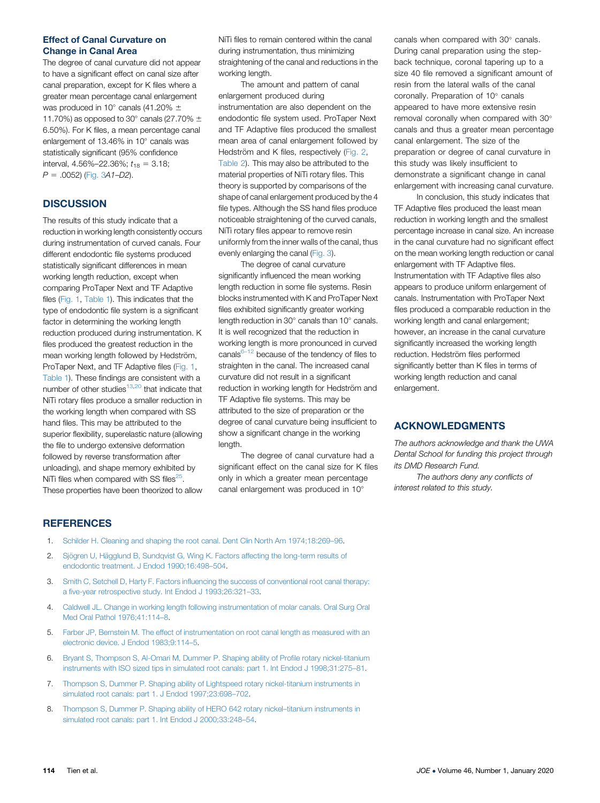#### <span id="page-4-0"></span>Effect of Canal Curvature on Change in Canal Area

The degree of canal curvature did not appear to have a significant effect on canal size after canal preparation, except for K files where a greater mean percentage canal enlargement was produced in 10 $^{\circ}$  canals (41.20%  $\pm$ 11.70%) as opposed to 30 $^{\circ}$  canals (27.70%  $\pm$ 6.50%). For K files, a mean percentage canal enlargement of 13.46% in  $10^{\circ}$  canals was statistically significant (95% confidence interval,  $4.56\% - 22.36\%$ ;  $t_{18} = 3.18$ ;  $P = .0052$ ) [\(Fig. 3](#page-3-0)A1–D2).

# **DISCUSSION**

The results of this study indicate that a reduction in working length consistently occurs during instrumentation of curved canals. Four different endodontic file systems produced statistically significant differences in mean working length reduction, except when comparing ProTaper Next and TF Adaptive files ([Fig. 1,](#page-1-0) [Table 1\)](#page-1-0). This indicates that the type of endodontic file system is a significant factor in determining the working length reduction produced during instrumentation. K files produced the greatest reduction in the mean working length followed by Hedström, ProTaper Next, and TF Adaptive files [\(Fig. 1](#page-1-0), [Table 1](#page-1-0)). These findings are consistent with a number of other studies $13,20$  that indicate that NiTi rotary files produce a smaller reduction in the working length when compared with SS hand files. This may be attributed to the superior flexibility, superelastic nature (allowing the file to undergo extensive deformation followed by reverse transformation after unloading), and shape memory exhibited by NiTi files when compared with SS files<sup>25</sup>. These properties have been theorized to allow NiTi files to remain centered within the canal during instrumentation, thus minimizing straightening of the canal and reductions in the working length.

The amount and pattern of canal enlargement produced during instrumentation are also dependent on the endodontic file system used. ProTaper Next and TF Adaptive files produced the smallest mean area of canal enlargement followed by Hedström and K files, respectively [\(Fig. 2,](#page-2-0) [Table 2](#page-2-0)). This may also be attributed to the material properties of NiTi rotary files. This theory is supported by comparisons of the shape of canal enlargement produced by the 4 file types. Although the SS hand files produce noticeable straightening of the curved canals, NiTi rotary files appear to remove resin uniformly from the inner walls of the canal, thus evenly enlarging the canal ([Fig. 3](#page-3-0)).

The degree of canal curvature significantly influenced the mean working length reduction in some file systems. Resin blocks instrumented with K and ProTaper Next files exhibited significantly greater working length reduction in  $30^\circ$  canals than  $10^\circ$  canals. It is well recognized that the reduction in working length is more pronounced in curved canals $6-12$  because of the tendency of files to straighten in the canal. The increased canal curvature did not result in a significant reduction in working length for Hedström and TF Adaptive file systems. This may be attributed to the size of preparation or the degree of canal curvature being insufficient to show a significant change in the working length.

The degree of canal curvature had a significant effect on the canal size for K files only in which a greater mean percentage canal enlargement was produced in 10

canals when compared with 30° canals. During canal preparation using the stepback technique, coronal tapering up to a size 40 file removed a significant amount of resin from the lateral walls of the canal coronally. Preparation of 10° canals appeared to have more extensive resin removal coronally when compared with 30 canals and thus a greater mean percentage canal enlargement. The size of the preparation or degree of canal curvature in this study was likely insufficient to demonstrate a significant change in canal enlargement with increasing canal curvature.

In conclusion, this study indicates that TF Adaptive files produced the least mean reduction in working length and the smallest percentage increase in canal size. An increase in the canal curvature had no significant effect on the mean working length reduction or canal enlargement with TF Adaptive files. Instrumentation with TF Adaptive files also appears to produce uniform enlargement of canals. Instrumentation with ProTaper Next files produced a comparable reduction in the working length and canal enlargement; however, an increase in the canal curvature significantly increased the working length reduction. Hedström files performed significantly better than K files in terms of working length reduction and canal enlargement.

### ACKNOWLEDGMENTS

The authors acknowledge and thank the UWA Dental School for funding this project through its DMD Research Fund.

The authors deny any conflicts of interest related to this study.

### **REFERENCES**

- 1. Schilder H. Cleaning and shaping the root canal. Dent Clin North Am 1974;18:269–96.
- 2. Sjögren U, Hägglund B, Sundqvist G, Wing K. Factors affecting the long-term results of endodontic treatment. J Endod 1990;16:498–504.
- 3. Smith C, Setchell D, Harty F. Factors influencing the success of conventional root canal therapy: a five-year retrospective study. Int Endod J 1993;26:321–33.
- 4. Caldwell JL. Change in working length following instrumentation of molar canals. Oral Surg Oral Med Oral Pathol 1976;41:114–8.
- 5. Farber JP, Bernstein M. The effect of instrumentation on root canal length as measured with an electronic device. J Endod 1983;9:114–5.
- 6. Bryant S, Thompson S, Al-Omari M, Dummer P. Shaping ability of Profile rotary nickel-titanium instruments with ISO sized tips in simulated root canals: part 1. Int Endod J 1998;31:275–81.
- 7. Thompson S, Dummer P. Shaping ability of Lightspeed rotary nickel-titanium instruments in simulated root canals: part 1. J Endod 1997;23:698–702.
- 8. Thompson S, Dummer P. Shaping ability of HERO 642 rotary nickel–titanium instruments in simulated root canals: part 1. Int Endod J 2000;33:248–54.